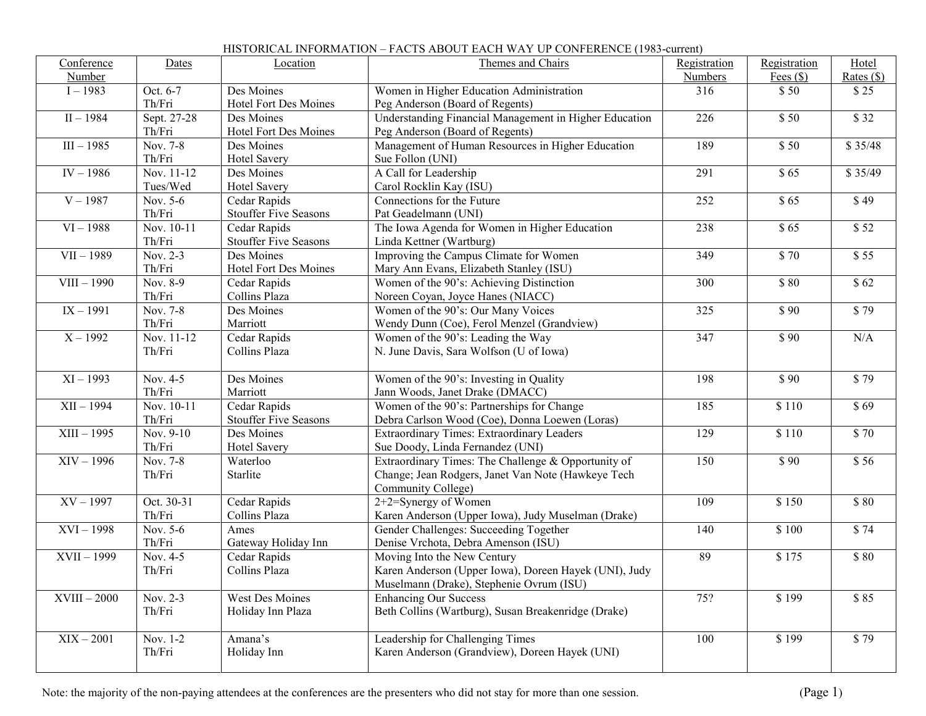## Conference Number Dates | Location | Themes and Chairs | Registration Numbers Registration Fees (\$) Hotel Rates (\$)  $I - 1983$  Oct. 6-7 Th/Fri Des Moines Hotel Fort Des Moines Women in Higher Education Administration Peg Anderson (Board of Regents) 316 \$ 50 \$ 25  $II - 1984$  Sept. 27-28 Th/Fri Des Moines Hotel Fort Des Moines Understanding Financial Management in Higher Education Peg Anderson (Board of Regents) 226 \$ 50 \$ 32  $III - 1985$  Nov. 7-8 Th/Fri Des Moines Hotel Savery Management of Human Resources in Higher Education Sue Follon (UNI) 189 \$ 50 \$ 35/48  $IV - 1986$  Nov. 11-12 Tues/Wed Des Moines Hotel Savery A Call for Leadership Carol Rocklin Kay (ISU) 291 | \$65 | \$35/49  $V - 1987$  Nov. 5-6 Th/Fri Cedar Rapids Stouffer Five Seasons Connections for the Future Pat Geadelmann (UNI) 252 | \$65 | \$49  $VI = 1988$  Nov. 10-11 Th/Fri Cedar Rapids Stouffer Five Seasons The Iowa Agenda for Women in Higher Education Linda Kettner (Wartburg) 238  $\begin{array}{|c|c|c|c|c|c|} \hline \text{S} & \text{S} & \text{S} & \text{S} & \text{S} \\ \hline \end{array}$  $VII - 1989$  Nov. 2-3 Th/Fri<br>Nov. 8-9 Des Moines Hotel Fort Des Moines Improving the Campus Climate for Women Mary Ann Evans, Elizabeth Stanley (ISU) 349  $\begin{array}{|c|c|c|c|c|c|} \hline 349 & 555 \end{array}$  $\overline{\text{VIII}} - 1990$ Th/Fri Cedar Rapids Collins Plaza Women of the 90's: Achieving Distinction Noreen Coyan, Joyce Hanes (NIACC) 300 \$ 80 \$ 62  $IX - 1991$  Nov. 7-8 Th/Fri Des Moines Marriott Women of the 90's: Our Many Voices Wendy Dunn (Coe), Ferol Menzel (Grandview) 325 \$ 90 \$ 79  $X - 1992$  Nov. 11-12 Th/Fri Cedar Rapids Collins Plaza Women of the 90's: Leading the Way N. June Davis, Sara Wolfson (U of Iowa) 347 | \$90 | N/A  $XI - 1993$  Nov. 4-5 Th/Fri Des Moines Marriott Women of the 90's: Investing in Quality Jann Woods, Janet Drake (DMACC) 198 \$ 90 \$ 79  $XII - 1994$  Nov. 10-11 Th/Fri<br>Nov. 9-10 Cedar Rapids Stouffer Five Seasons Women of the 90's: Partnerships for Change Debra Carlson Wood (Coe), Donna Loewen (Loras) 185 | \$110 | \$69  $XIII - 1995$ Th/Fri Des Moines Hotel Savery Extraordinary Times: Extraordinary Leaders Sue Doody, Linda Fernandez (UNI) 129  $\begin{array}{|c|c|c|c|c|c|c|c|c|} \hline 1 & 129 & 110 & 1570 \ \hline \end{array}$  $XIV - 1996$  Nov. 7-8 Th/Fri Waterloo **Starlite** Extraordinary Times: The Challenge & Opportunity of Change; Jean Rodgers, Janet Van Note (Hawkeye Tech Community College) 150 \$ 90 \$ 56  $XV - 1997$  Oct. 30-31 Th/Fri<br>Nov 5-6 Cedar Rapids Collins Plaza 2+2=Synergy of Women Karen Anderson (Upper Iowa), Judy Muselman (Drake) 109 \$ 150 \$ 80  $XVI - 1998$ Th/Fri Ames Gateway Holiday Inn Gender Challenges: Succeeding Together Denise Vrchota, Debra Amenson (ISU) 140 \$ 100 \$ 74  $XVII - 1999$  Nov. 4-5 Th/Fri Cedar Rapids Collins Plaza Moving Into the New Century Karen Anderson (Upper Iowa), Doreen Hayek (UNI), Judy Muselmann (Drake), Stephenie Ovrum (ISU) 89 \$ 175 \$ 80  $XVIII - 2000$  Nov. 2-3 Th/Fri West Des Moines Holiday Inn Plaza Enhancing Our Success Beth Collins (Wartburg), Susan Breakenridge (Drake) 75? | \$199 | \$85  $XIX - 2001$  Nov. 1-2 Amana's Leadership for Challenging Times 100 \$ 199 \$ 79

Karen Anderson (Grandview), Doreen Hayek (UNI)

## HISTORICAL INFORMATION – FACTS ABOUT EACH WAY UP CONFERENCE (1983-current)

Note: the majority of the non-paying attendees at the conferences are the presenters who did not stay for more than one session. (Page 1)

Holiday Inn

Th/Fri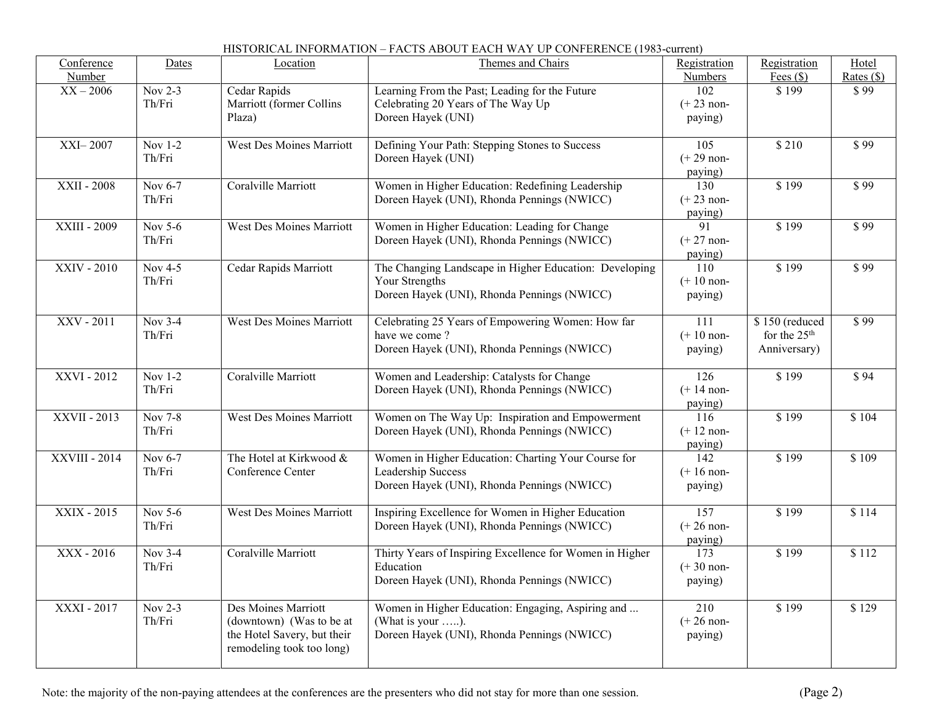| Conference<br>Number | Dates               | Location                                                                                                    | Themes and Chairs                                                                                                        | Registration<br>Numbers                     | Registration                                               | Hotel                |
|----------------------|---------------------|-------------------------------------------------------------------------------------------------------------|--------------------------------------------------------------------------------------------------------------------------|---------------------------------------------|------------------------------------------------------------|----------------------|
| $XX - 2006$          | Nov 2-3<br>Th/Fri   | Cedar Rapids<br>Marriott (former Collins<br>Plaza)                                                          | Learning From the Past; Leading for the Future<br>Celebrating 20 Years of The Way Up<br>Doreen Hayek (UNI)               | 102<br>$(+ 23$ non-<br>paying)              | Fees $(\$)$<br>\$199                                       | Rates $(\$)$<br>\$99 |
| <b>XXI-2007</b>      | Nov 1-2<br>Th/Fri   | <b>West Des Moines Marriott</b>                                                                             | Defining Your Path: Stepping Stones to Success<br>Doreen Hayek (UNI)                                                     | 105<br>$(+ 29$ non-<br>paying)              | \$210                                                      | \$99                 |
| XXII - 2008          | Nov 6-7<br>Th/Fri   | Coralville Marriott                                                                                         | Women in Higher Education: Redefining Leadership<br>Doreen Hayek (UNI), Rhonda Pennings (NWICC)                          | 130<br>$(+ 23$ non-<br>paying)              | \$199                                                      | \$99                 |
| XXIII - 2009         | Nov 5-6<br>Th/Fri   | West Des Moines Marriott                                                                                    | Women in Higher Education: Leading for Change<br>Doreen Hayek (UNI), Rhonda Pennings (NWICC)                             | 91<br>$(+ 27$ non-<br>paying)               | \$199                                                      | \$99                 |
| XXIV - 2010          | Nov $4-5$<br>Th/Fri | Cedar Rapids Marriott                                                                                       | The Changing Landscape in Higher Education: Developing<br>Your Strengths<br>Doreen Hayek (UNI), Rhonda Pennings (NWICC)  | 110<br>$(+ 10$ non-<br>paying)              | \$199                                                      | \$99                 |
| XXV - 2011           | Nov $3-4$<br>Th/Fri | <b>West Des Moines Marriott</b>                                                                             | Celebrating 25 Years of Empowering Women: How far<br>have we come?<br>Doreen Hayek (UNI), Rhonda Pennings (NWICC)        | 111<br>$(+ 10$ non-<br>paying)              | \$150 (reduced<br>for the 25 <sup>th</sup><br>Anniversary) | \$99                 |
| XXVI-2012            | Nov 1-2<br>Th/Fri   | Coralville Marriott                                                                                         | Women and Leadership: Catalysts for Change<br>Doreen Hayek (UNI), Rhonda Pennings (NWICC)                                | 126<br>$(+ 14$ non-<br>paying)              | \$199                                                      | \$94                 |
| XXVII - 2013         | Nov 7-8<br>Th/Fri   | West Des Moines Marriott                                                                                    | Women on The Way Up: Inspiration and Empowerment<br>Doreen Hayek (UNI), Rhonda Pennings (NWICC)                          | 116<br>$(+ 12$ non-<br>paying)              | \$199                                                      | \$104                |
| XXVIII - 2014        | Nov 6-7<br>Th/Fri   | The Hotel at Kirkwood &<br>Conference Center                                                                | Women in Higher Education: Charting Your Course for<br>Leadership Success<br>Doreen Hayek (UNI), Rhonda Pennings (NWICC) | $\overline{142}$<br>$(+ 16$ non-<br>paying) | \$199                                                      | \$109                |
| XXIX - 2015          | Nov $5-6$<br>Th/Fri | <b>West Des Moines Marriott</b>                                                                             | Inspiring Excellence for Women in Higher Education<br>Doreen Hayek (UNI), Rhonda Pennings (NWICC)                        | $\overline{157}$<br>$(+ 26$ non-<br>paying) | \$199                                                      | \$114                |
| XXX - 2016           | Nov 3-4<br>Th/Fri   | Coralville Marriott                                                                                         | Thirty Years of Inspiring Excellence for Women in Higher<br>Education<br>Doreen Hayek (UNI), Rhonda Pennings (NWICC)     | $\overline{173}$<br>$(+ 30$ non-<br>paying) | \$199                                                      | \$112                |
| XXXI - 2017          | Nov $2-3$<br>Th/Fri | Des Moines Marriott<br>(downtown) (Was to be at<br>the Hotel Savery, but their<br>remodeling took too long) | Women in Higher Education: Engaging, Aspiring and<br>(What is your ).<br>Doreen Hayek (UNI), Rhonda Pennings (NWICC)     | 210<br>$(+ 26$ non-<br>paying)              | \$199                                                      | \$129                |

## HISTORICAL INFORMATION – FACTS ABOUT EACH WAY UP CONFERENCE (1983-current)